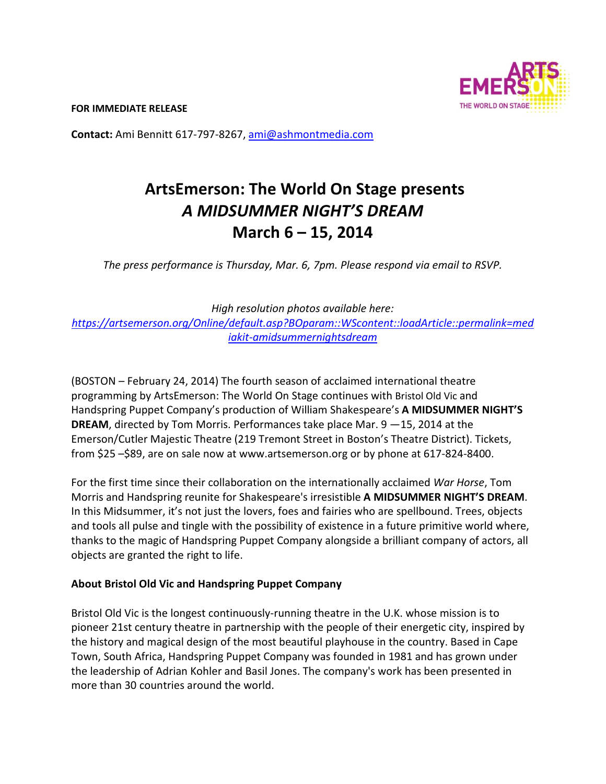**FOR IMMEDIATE RELEASE** 



**Contact:** Ami Bennitt 617‐797‐8267, ami@ashmontmedia.com

# **ArtsEmerson: The World On Stage presents**  *A MIDSUMMER NIGHT'S DREAM*  **March 6 – 15, 2014**

*The press performance is Thursday, Mar. 6, 7pm. Please respond via email to RSVP.* 

*High resolution photos available here: https://artsemerson.org/Online/default.asp?BOparam::WScontent::loadArticle::permalink=med iakit-amidsummernightsdream* 

(BOSTON – February 24, 2014) The fourth season of acclaimed international theatre programming by ArtsEmerson: The World On Stage continues with Bristol Old Vic and Handspring Puppet Company's production of William Shakespeare's **A MIDSUMMER NIGHT'S DREAM**, directed by Tom Morris. Performances take place Mar. 9 —15, 2014 at the Emerson/Cutler Majestic Theatre (219 Tremont Street in Boston's Theatre District). Tickets, from \$25 –\$89, are on sale now at www.artsemerson.org or by phone at 617‐824‐8400.

For the first time since their collaboration on the internationally acclaimed *War Horse*, Tom Morris and Handspring reunite for Shakespeare's irresistible **A MIDSUMMER NIGHT'S DREAM**. In this Midsummer, it's not just the lovers, foes and fairies who are spellbound. Trees, objects and tools all pulse and tingle with the possibility of existence in a future primitive world where, thanks to the magic of Handspring Puppet Company alongside a brilliant company of actors, all objects are granted the right to life.

# **About Bristol Old Vic and Handspring Puppet Company**

Bristol Old Vic is the longest continuously‐running theatre in the U.K. whose mission is to pioneer 21st century theatre in partnership with the people of their energetic city, inspired by the history and magical design of the most beautiful playhouse in the country. Based in Cape Town, South Africa, Handspring Puppet Company was founded in 1981 and has grown under the leadership of Adrian Kohler and Basil Jones. The company's work has been presented in more than 30 countries around the world.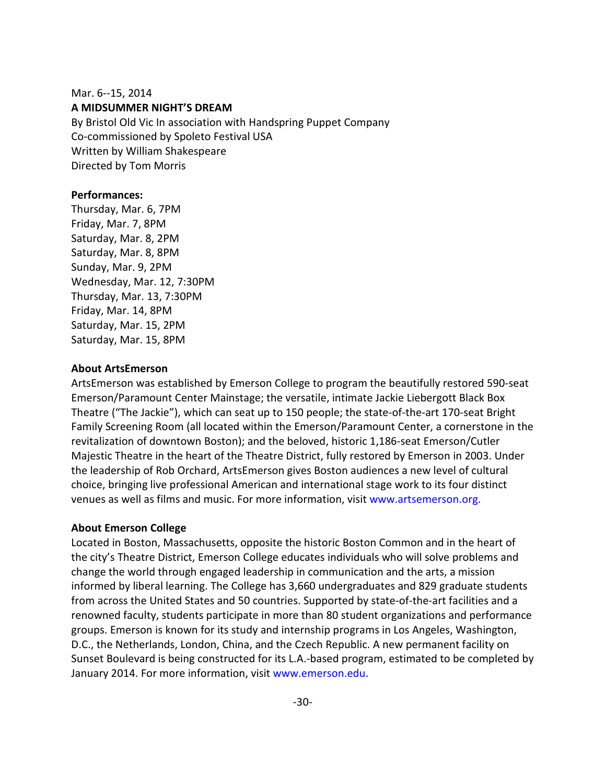#### Mar. 6‐‐15, 2014 **A MIDSUMMER NIGHT'S DREAM**

By Bristol Old Vic In association with Handspring Puppet Company Co‐commissioned by Spoleto Festival USA Written by William Shakespeare Directed by Tom Morris

#### **Performances:**

Thursday, Mar. 6, 7PM Friday, Mar. 7, 8PM Saturday, Mar. 8, 2PM Saturday, Mar. 8, 8PM Sunday, Mar. 9, 2PM Wednesday, Mar. 12, 7:30PM Thursday, Mar. 13, 7:30PM Friday, Mar. 14, 8PM Saturday, Mar. 15, 2PM Saturday, Mar. 15, 8PM

#### **About ArtsEmerson**

ArtsEmerson was established by Emerson College to program the beautifully restored 590‐seat Emerson/Paramount Center Mainstage; the versatile, intimate Jackie Liebergott Black Box Theatre ("The Jackie"), which can seat up to 150 people; the state‐of‐the‐art 170‐seat Bright Family Screening Room (all located within the Emerson/Paramount Center, a cornerstone in the revitalization of downtown Boston); and the beloved, historic 1,186‐seat Emerson/Cutler Majestic Theatre in the heart of the Theatre District, fully restored by Emerson in 2003. Under the leadership of Rob Orchard, ArtsEmerson gives Boston audiences a new level of cultural choice, bringing live professional American and international stage work to its four distinct venues as well as films and music. For more information, visit www.artsemerson.org.

## **About Emerson College**

Located in Boston, Massachusetts, opposite the historic Boston Common and in the heart of the city's Theatre District, Emerson College educates individuals who will solve problems and change the world through engaged leadership in communication and the arts, a mission informed by liberal learning. The College has 3,660 undergraduates and 829 graduate students from across the United States and 50 countries. Supported by state-of-the-art facilities and a renowned faculty, students participate in more than 80 student organizations and performance groups. Emerson is known for its study and internship programs in Los Angeles, Washington, D.C., the Netherlands, London, China, and the Czech Republic. A new permanent facility on Sunset Boulevard is being constructed for its L.A.‐based program, estimated to be completed by January 2014. For more information, visit www.emerson.edu.